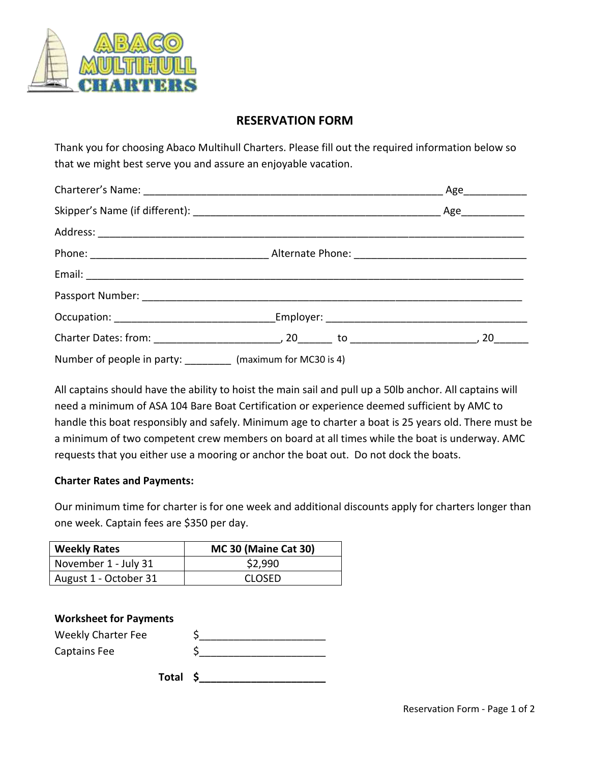

## **RESERVATION FORM**

Thank you for choosing Abaco Multihull Charters. Please fill out the required information below so that we might best serve you and assure an enjoyable vacation.

| Number of people in party: __________ (maximum for MC30 is 4) |  |
|---------------------------------------------------------------|--|

All captains should have the ability to hoist the main sail and pull up a 50lb anchor. All captains will need a minimum of ASA 104 Bare Boat Certification or experience deemed sufficient by AMC to handle this boat responsibly and safely. Minimum age to charter a boat is 25 years old. There must be a minimum of two competent crew members on board at all times while the boat is underway. AMC requests that you either use a mooring or anchor the boat out. Do not dock the boats.

## **Charter Rates and Payments:**

Our minimum time for charter is for one week and additional discounts apply for charters longer than one week. Captain fees are \$350 per day.

| <b>Weekly Rates</b>   | MC 30 (Maine Cat 30) |
|-----------------------|----------------------|
| November 1 - July 31  | \$2,990              |
| August 1 - October 31 | <b>CLOSED</b>        |

| <b>Worksheet for Payments</b> |  |
|-------------------------------|--|
| <b>Weekly Charter Fee</b>     |  |
| <b>Captains Fee</b>           |  |
| Total                         |  |